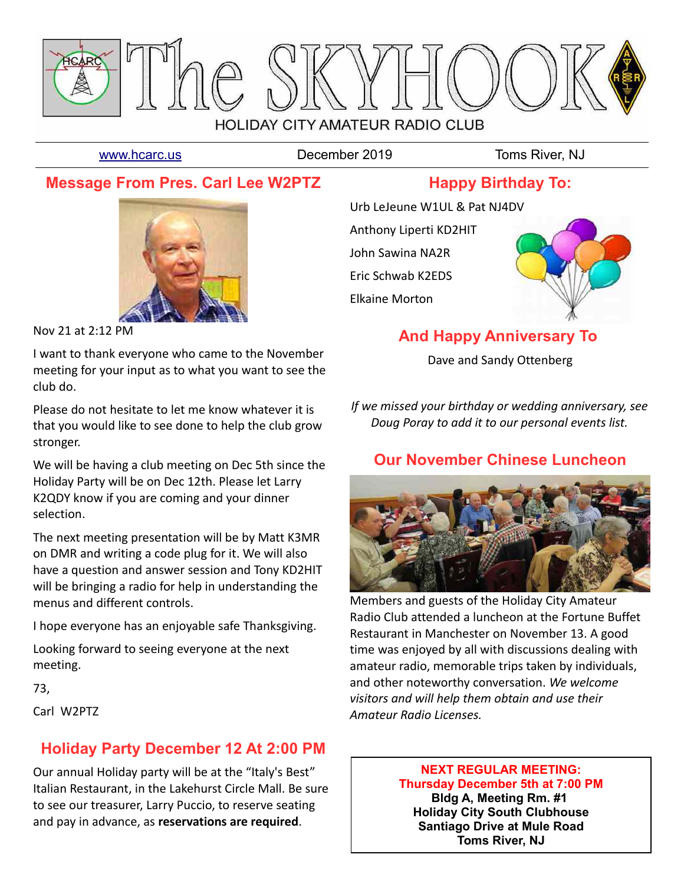

[www.hcarc.us](http://www.hcarc.us/) **December 2019** Toms River, NJ

# **Message From Pres. Carl Lee W2PTZ**





Nov 21 at 2:12 PM

I want to thank everyone who came to the November meeting for your input as to what you want to see the club do.

Please do not hesitate to let me know whatever it is that you would like to see done to help the club grow stronger.

We will be having a club meeting on Dec 5th since the Holiday Party will be on Dec 12th. Please let Larry K2QDY know if you are coming and your dinner selection.

The next meeting presentation will be by Matt K3MR on DMR and writing a code plug for it. We will also have a question and answer session and Tony KD2HIT will be bringing a radio for help in understanding the menus and different controls.

I hope everyone has an enjoyable safe Thanksgiving.

Looking forward to seeing everyone at the next meeting.

73,

Carl W2PTZ

# **Holiday Party December 12 At 2:00 PM**

Our annual Holiday party will be at the "Italy's Best" Italian Restaurant, in the Lakehurst Circle Mall. Be sure to see our treasurer, Larry Puccio, to reserve seating and pay in advance, as **reservations are required**.

Urb LeJeune W1UL & Pat NJ4DV Anthony Liperti KD2HIT John Sawina NA2R Eric Schwab K2EDS Elkaine Morton



# **And Happy Anniversary To**

Dave and Sandy Ottenberg

*If we missed your birthday or wedding anniversary, see Doug Poray to add it to our personal events list.*

# **Our November Chinese Luncheon**



Members and guests of the Holiday City Amateur Radio Club attended a luncheon at the Fortune Buffet Restaurant in Manchester on November 13. A good time was enjoyed by all with discussions dealing with amateur radio, memorable trips taken by individuals, and other noteworthy conversation. *We welcome visitors and will help them obtain and use their Amateur Radio Licenses.* 

> **NEXT REGULAR MEETING: Thursday December 5th at 7:00 PM Bldg A, Meeting Rm. #1 Holiday City South Clubhouse Santiago Drive at Mule Road Toms River, NJ**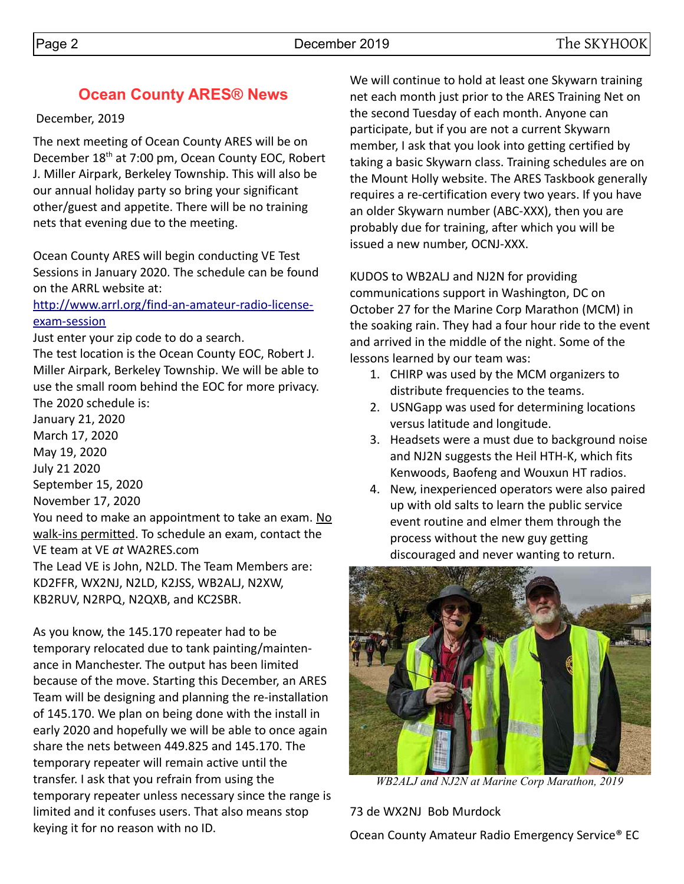# **Ocean County ARES® News**

## December, 2019

The next meeting of Ocean County ARES will be on December 18<sup>th</sup> at 7:00 pm, Ocean County EOC, Robert J. Miller Airpark, Berkeley Township. This will also be our annual holiday party so bring your significant other/guest and appetite. There will be no training nets that evening due to the meeting.

Ocean County ARES will begin conducting VE Test Sessions in January 2020. The schedule can be found on the ARRL website at:

## [http://www.arrl.org/find-an-amateur-radio-license](http://www.arrl.org/find-an-amateur-radio-license-exam-session)[exam-session](http://www.arrl.org/find-an-amateur-radio-license-exam-session)

Just enter your zip code to do a search.

The test location is the Ocean County EOC, Robert J. Miller Airpark, Berkeley Township. We will be able to use the small room behind the EOC for more privacy. The 2020 schedule is: January 21, 2020 March 17, 2020

May 19, 2020 July 21 2020 September 15, 2020 November 17, 2020

You need to make an appointment to take an exam. No walk-ins permitted. To schedule an exam, contact the VE team at VE *at* WA2RES.com

The Lead VE is John, N2LD. The Team Members are: KD2FFR, WX2NJ, N2LD, K2JSS, WB2ALJ, N2XW, KB2RUV, N2RPQ, N2QXB, and KC2SBR.

As you know, the 145.170 repeater had to be temporary relocated due to tank painting/maintenance in Manchester. The output has been limited because of the move. Starting this December, an ARES Team will be designing and planning the re-installation of 145.170. We plan on being done with the install in early 2020 and hopefully we will be able to once again share the nets between 449.825 and 145.170. The temporary repeater will remain active until the transfer. I ask that you refrain from using the temporary repeater unless necessary since the range is limited and it confuses users. That also means stop keying it for no reason with no ID.

We will continue to hold at least one Skywarn training net each month just prior to the ARES Training Net on the second Tuesday of each month. Anyone can participate, but if you are not a current Skywarn member, I ask that you look into getting certified by taking a basic Skywarn class. Training schedules are on the Mount Holly website. The ARES Taskbook generally requires a re-certification every two years. If you have an older Skywarn number (ABC-XXX), then you are probably due for training, after which you will be issued a new number, OCNJ-XXX.

KUDOS to WB2ALJ and NJ2N for providing communications support in Washington, DC on October 27 for the Marine Corp Marathon (MCM) in the soaking rain. They had a four hour ride to the event and arrived in the middle of the night. Some of the lessons learned by our team was:

- 1. CHIRP was used by the MCM organizers to distribute frequencies to the teams.
- 2. USNGapp was used for determining locations versus latitude and longitude.
- 3. Headsets were a must due to background noise and NJ2N suggests the Heil HTH-K, which fits Kenwoods, Baofeng and Wouxun HT radios.
- 4. New, inexperienced operators were also paired up with old salts to learn the public service event routine and elmer them through the process without the new guy getting discouraged and never wanting to return.



*WB2ALJ and NJ2N at Marine Corp Marathon, 2019*

73 de WX2NJ Bob Murdock

Ocean County Amateur Radio Emergency Service® EC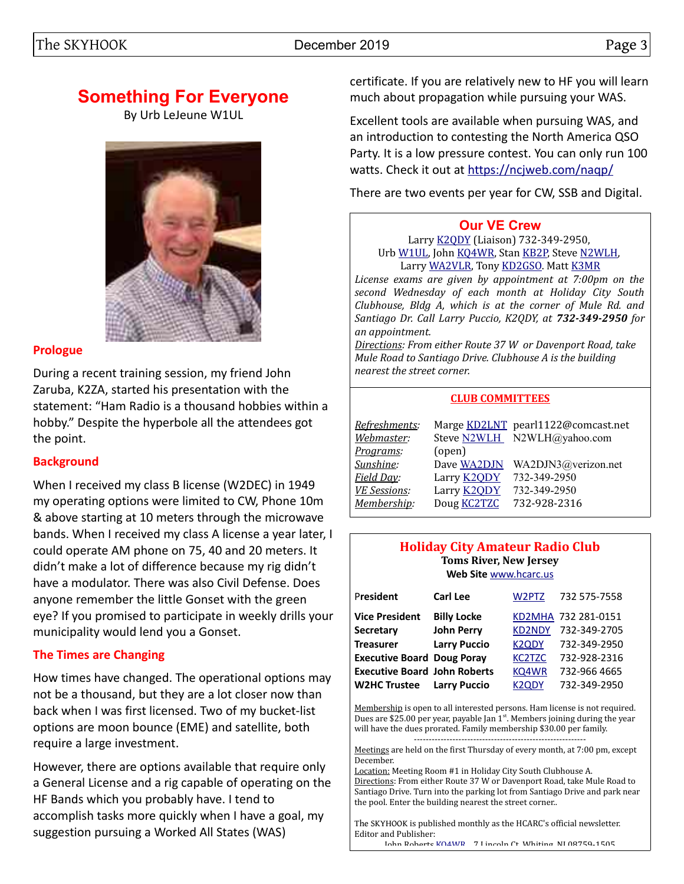## The SKYHOOK December 2019 Page 3

# **Something For Everyone**

By Urb LeJeune W1UL



## **Prologue**

During a recent training session, my friend John Zaruba, K2ZA, started his presentation with the statement: "Ham Radio is a thousand hobbies within a hobby." Despite the hyperbole all the attendees got the point.

## **Background**

When I received my class B license (W2DEC) in 1949 my operating options were limited to CW, Phone 10m & above starting at 10 meters through the microwave bands. When I received my class A license a year later, I could operate AM phone on 75, 40 and 20 meters. It didn't make a lot of difference because my rig didn't have a modulator. There was also Civil Defense. Does anyone remember the little Gonset with the green eye? If you promised to participate in weekly drills your municipality would lend you a Gonset.

## **The Times are Changing**

How times have changed. The operational options may not be a thousand, but they are a lot closer now than back when I was first licensed. Two of my bucket-list options are moon bounce (EME) and satellite, both require a large investment.

However, there are options available that require only a General License and a rig capable of operating on the HF Bands which you probably have. I tend to accomplish tasks more quickly when I have a goal, my suggestion pursuing a Worked All States (WAS)

certificate. If you are relatively new to HF you will learn much about propagation while pursuing your WAS.

Excellent tools are available when pursuing WAS, and an introduction to contesting the North America QSO Party. It is a low pressure contest. You can only run 100 watts. Check it out at<https://ncjweb.com/naqp/>

There are two events per year for CW, SSB and Digital.

## **[Our VE Crew](mailto:lpuccio1@comcast.net?subject=VE)**

Larry [K2QDY](mailto:lpuccio071@gmail.com) (Liaison) 732-349-2950, Urb [W1UL,](mailto:urb@W1UL.com) John [KQ4WR,](mailto:kq4wr@arrl.net) Stan [KB2P,](mailto:kb2pd@hotmail.com) Steve [N2WLH,](mailto:n2wlh@yahoo.com) Larry [WA2VLR,](mailto:lloscalz@optonline.net) Tony [KD2GSO.](mailto:tonyk613@comcast.net) Matt [K3MR](mailto:baltimatt@verizon.net)

*License exams are given by appointment at 7:00pm on the second Wednesday of each month at Holiday City South Clubhouse, Bldg A, which is at the corner of Mule Rd. and Santiago Dr. Call Larry Puccio, K2QDY, at 732-349-2950 for an appointment.* 

*Directions: From either Route 37 W or Davenport Road, take Mule Road to Santiago Drive. Clubhouse A is the building nearest the street corner.*

#### **CLUB COMMITTEES**

| Refreshments:       |                    | Marge KD2LNT pearl1122@comcast.net |
|---------------------|--------------------|------------------------------------|
| Webmaster:          |                    | Steve N2WLH N2WLH@yahoo.com        |
| Programs:           | (open)             |                                    |
| Sunshine:           | Dave WA2DJN        | WA2DJN3@verizon.net                |
| Field Day:          | Larry <b>K2QDY</b> | 732-349-2950                       |
| <b>VE Sessions:</b> | Larry <b>K2QDY</b> | 732-349-2950                       |
| Membership:         | Doug <b>KC2TZC</b> | 732-928-2316                       |

#### **Holiday City Amateur Radio Club Toms River, New Jersey Web Site** [www.hcarc.us](http://www.hcarc.us/)

| President                           | <b>Carl Lee</b>     | W2PTZ              | 732 575-7558        |
|-------------------------------------|---------------------|--------------------|---------------------|
| <b>Vice President</b>               | <b>Billy Locke</b>  |                    | KD2MHA 732 281-0151 |
| <b>Secretary</b>                    | <b>John Perry</b>   | <b>KD2NDY</b>      | 732-349-2705        |
| <b>Treasurer</b>                    | <b>Larry Puccio</b> | <b>K2QDY</b>       | 732-349-2950        |
| <b>Executive Board Doug Poray</b>   |                     | <b>KC2TZC</b>      | 732-928-2316        |
| <b>Executive Board John Roberts</b> |                     | KQ4WR              | 732-966 4665        |
| <b>W2HC Trustee</b>                 | <b>Larry Puccio</b> | K <sub>2</sub> ODY | 732-349-2950        |

Membership is open to all interested persons. Ham license is not required. Dues are \$25.00 per year, payable Jan 1<sup>st</sup>. Members joining during the year will have the dues prorated. Family membership \$30.00 per family. ----------------------------------------------------------

Meetings are held on the first Thursday of every month, at 7:00 pm, except December.

Location: Meeting Room #1 in Holiday City South Clubhouse A. Directions: From either Route 37 W or Davenport Road, take Mule Road to Santiago Drive. Turn into the parking lot from Santiago Drive and park near the pool. Enter the building nearest the street corner..

The SKYHOOK is published monthly as the HCARC's official newsletter. Editor and Publisher:

John Roberts [KQ4WR](mailto:kq4wr@arrl.net) 7 Lincoln Ct. Whiting, NJ 08759-1505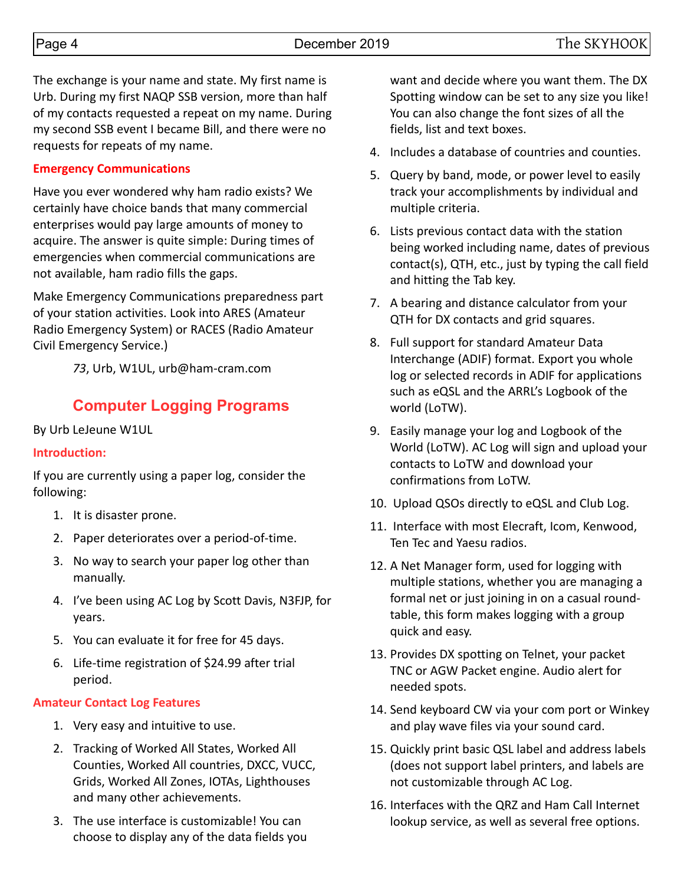The exchange is your name and state. My first name is Urb. During my first NAQP SSB version, more than half of my contacts requested a repeat on my name. During my second SSB event I became Bill, and there were no requests for repeats of my name.

## **Emergency Communications**

Have you ever wondered why ham radio exists? We certainly have choice bands that many commercial enterprises would pay large amounts of money to acquire. The answer is quite simple: During times of emergencies when commercial communications are not available, ham radio fills the gaps.

Make Emergency Communications preparedness part of your station activities. Look into ARES (Amateur Radio Emergency System) or RACES (Radio Amateur Civil Emergency Service.)

*73*, Urb, W1UL, urb@ham-cram.com

# **Computer Logging Programs**

By Urb LeJeune W1UL

#### **Introduction:**

If you are currently using a paper log, consider the following:

- 1. It is disaster prone.
- 2. Paper deteriorates over a period-of-time.
- 3. No way to search your paper log other than manually.
- 4. I've been using AC Log by Scott Davis, N3FJP, for years.
- 5. You can evaluate it for free for 45 days.
- 6. Life-time registration of \$24.99 after trial period.

## **Amateur Contact Log Features**

- 1. Very easy and intuitive to use.
- 2. Tracking of Worked All States, Worked All Counties, Worked All countries, DXCC, VUCC, Grids, Worked All Zones, IOTAs, Lighthouses and many other achievements.
- 3. The use interface is customizable! You can choose to display any of the data fields you

want and decide where you want them. The DX Spotting window can be set to any size you like! You can also change the font sizes of all the fields, list and text boxes.

- 4. Includes a database of countries and counties.
- 5. Query by band, mode, or power level to easily track your accomplishments by individual and multiple criteria.
- 6. Lists previous contact data with the station being worked including name, dates of previous contact(s), QTH, etc., just by typing the call field and hitting the Tab key.
- 7. A bearing and distance calculator from your QTH for DX contacts and grid squares.
- 8. Full support for standard Amateur Data Interchange (ADIF) format. Export you whole log or selected records in ADIF for applications such as eQSL and the ARRL's Logbook of the world (LoTW).
- 9. Easily manage your log and Logbook of the World (LoTW). AC Log will sign and upload your contacts to LoTW and download your confirmations from LoTW.
- 10. Upload QSOs directly to eQSL and Club Log.
- 11. Interface with most Elecraft, Icom, Kenwood, Ten Tec and Yaesu radios.
- 12. A Net Manager form, used for logging with multiple stations, whether you are managing a formal net or just joining in on a casual roundtable, this form makes logging with a group quick and easy.
- 13. Provides DX spotting on Telnet, your packet TNC or AGW Packet engine. Audio alert for needed spots.
- 14. Send keyboard CW via your com port or Winkey and play wave files via your sound card.
- 15. Quickly print basic QSL label and address labels (does not support label printers, and labels are not customizable through AC Log.
- 16. Interfaces with the QRZ and Ham Call Internet lookup service, as well as several free options.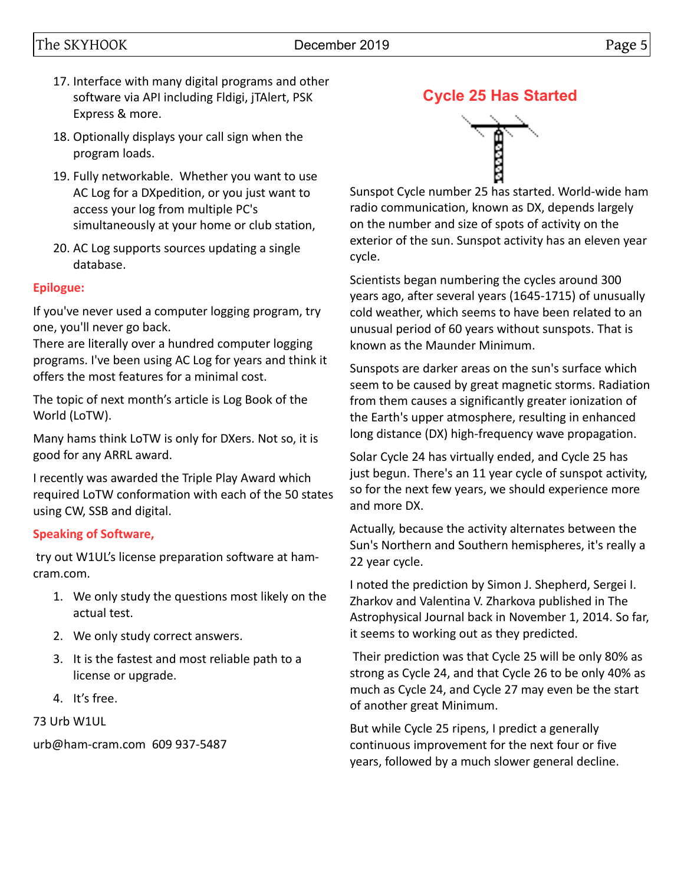# The SKYHOOK December 2019 **December 2019** Page 5

- 17. Interface with many digital programs and other software via API including Fldigi, jTAlert, PSK Express & more.
- 18. Optionally displays your call sign when the program loads.
- 19. Fully networkable. Whether you want to use AC Log for a DXpedition, or you just want to access your log from multiple PC's simultaneously at your home or club station,
- 20. AC Log supports sources updating a single database.

## **Epilogue:**

If you've never used a computer logging program, try one, you'll never go back.

There are literally over a hundred computer logging programs. I've been using AC Log for years and think it offers the most features for a minimal cost.

The topic of next month's article is Log Book of the World (LoTW).

Many hams think LoTW is only for DXers. Not so, it is good for any ARRL award.

I recently was awarded the Triple Play Award which required LoTW conformation with each of the 50 states using CW, SSB and digital.

# **Speaking of Software,**

 try out W1UL's license preparation software at hamcram.com.

- 1. We only study the questions most likely on the actual test.
- 2. We only study correct answers.
- 3. It is the fastest and most reliable path to a license or upgrade.
- 4. It's free.

73 Urb W1UL

urb@ham-cram.com 609 937-5487





Sunspot Cycle number 25 has started. World-wide ham radio communication, known as DX, depends largely on the number and size of spots of activity on the exterior of the sun. Sunspot activity has an eleven year cycle.

Scientists began numbering the cycles around 300 years ago, after several years (1645-1715) of unusually cold weather, which seems to have been related to an unusual period of 60 years without sunspots. That is known as the Maunder Minimum.

Sunspots are darker areas on the sun's surface which seem to be caused by great magnetic storms. Radiation from them causes a significantly greater ionization of the Earth's upper atmosphere, resulting in enhanced long distance (DX) high-frequency wave propagation.

Solar Cycle 24 has virtually ended, and Cycle 25 has just begun. There's an 11 year cycle of sunspot activity, so for the next few years, we should experience more and more DX.

Actually, because the activity alternates between the Sun's Northern and Southern hemispheres, it's really a 22 year cycle.

I noted the prediction by Simon J. Shepherd, Sergei I. Zharkov and Valentina V. Zharkova published in The Astrophysical Journal back in November 1, 2014. So far, it seems to working out as they predicted.

 Their prediction was that Cycle 25 will be only 80% as strong as Cycle 24, and that Cycle 26 to be only 40% as much as Cycle 24, and Cycle 27 may even be the start of another great Minimum.

But while Cycle 25 ripens, I predict a generally continuous improvement for the next four or five years, followed by a much slower general decline.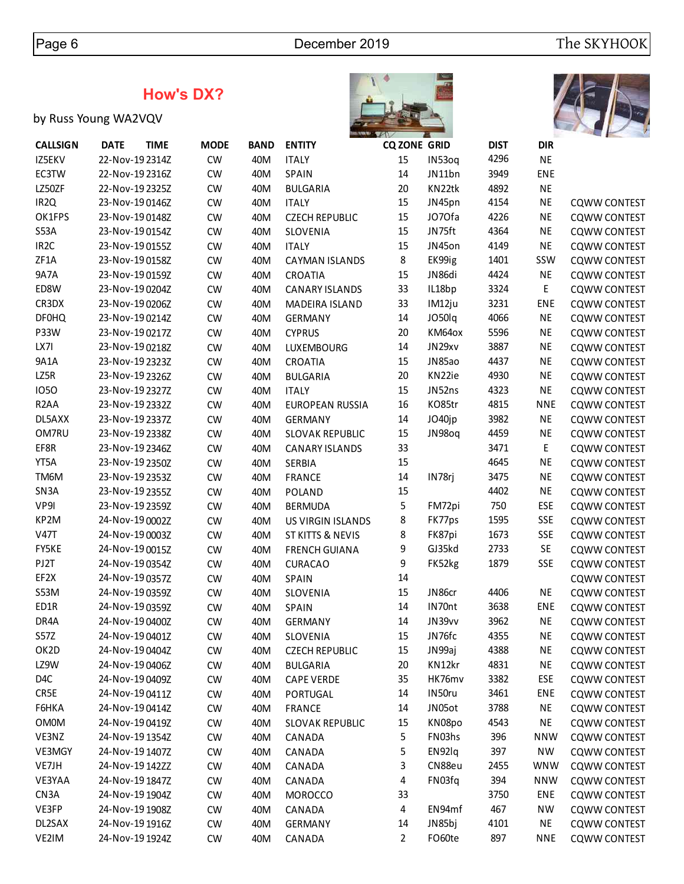# **How's DX?**

# by Russ Young WA2VQV





| <b>CALLSIGN</b>   | <b>DATE</b>     | <b>TIME</b> | <b>MODE</b> | <b>BAND</b> | <b>ENTITY</b>               | <b>CQ ZONE GRID</b> |        | <b>DIST</b> | <b>DIR</b> |                     |
|-------------------|-----------------|-------------|-------------|-------------|-----------------------------|---------------------|--------|-------------|------------|---------------------|
| IZ5EKV            | 22-Nov-19 2314Z |             | <b>CW</b>   | 40M         | <b>ITALY</b>                | 15                  | IN53oq | 4296        | <b>NE</b>  |                     |
| EC3TW             | 22-Nov-19 2316Z |             | <b>CW</b>   | 40M         | <b>SPAIN</b>                | 14                  | JN11bn | 3949        | ENE        |                     |
| LZ50ZF            | 22-Nov-19 2325Z |             | <b>CW</b>   | 40M         | <b>BULGARIA</b>             | 20                  | KN22tk | 4892        | <b>NE</b>  |                     |
| IR <sub>2Q</sub>  | 23-Nov-190146Z  |             | <b>CW</b>   | 40M         | <b>ITALY</b>                | 15                  | JN45pn | 4154        | <b>NE</b>  | <b>CQWW CONTEST</b> |
| OK1FPS            | 23-Nov-19 0148Z |             | <b>CW</b>   | 40M         | <b>CZECH REPUBLIC</b>       | 15                  | JO70fa | 4226        | <b>NE</b>  | <b>CQWW CONTEST</b> |
| <b>S53A</b>       | 23-Nov-190154Z  |             | <b>CW</b>   | 40M         | SLOVENIA                    | 15                  | JN75ft | 4364        | <b>NE</b>  | <b>CQWW CONTEST</b> |
| IR <sub>2C</sub>  | 23-Nov-19 0155Z |             | <b>CW</b>   | 40M         | <b>ITALY</b>                | 15                  | JN45on | 4149        | <b>NE</b>  | <b>CQWW CONTEST</b> |
| ZF1A              | 23-Nov-190158Z  |             | <b>CW</b>   | 40M         | <b>CAYMAN ISLANDS</b>       | 8                   | EK99ig | 1401        | SSW        | <b>CQWW CONTEST</b> |
| <b>9A7A</b>       | 23-Nov-19 0159Z |             | <b>CW</b>   | 40M         | CROATIA                     | 15                  | JN86di | 4424        | <b>NE</b>  | <b>CQWW CONTEST</b> |
| ED8W              | 23-Nov-19 0204Z |             | <b>CW</b>   | 40M         | <b>CANARY ISLANDS</b>       | 33                  | IL18bp | 3324        | Е          | <b>CQWW CONTEST</b> |
| CR3DX             | 23-Nov-190206Z  |             | <b>CW</b>   | 40M         | MADEIRA ISLAND              | 33                  | IM12ju | 3231        | ENE        | <b>CQWW CONTEST</b> |
| <b>DF0HQ</b>      | 23-Nov-190214Z  |             | <b>CW</b>   | 40M         | <b>GERMANY</b>              | 14                  | JO50lq | 4066        | <b>NE</b>  | <b>CQWW CONTEST</b> |
| P33W              | 23-Nov-19 0217Z |             | <b>CW</b>   | 40M         | <b>CYPRUS</b>               | 20                  | KM64ox | 5596        | <b>NE</b>  | <b>CQWW CONTEST</b> |
| LX7I              | 23-Nov-19 0218Z |             | <b>CW</b>   | 40M         | LUXEMBOURG                  | 14                  | JN29xv | 3887        | <b>NE</b>  | <b>CQWW CONTEST</b> |
| 9A1A              | 23-Nov-19 2323Z |             | <b>CW</b>   | 40M         | CROATIA                     | 15                  | JN85ao | 4437        | <b>NE</b>  | <b>CQWW CONTEST</b> |
| LZ5R              | 23-Nov-19 2326Z |             | <b>CW</b>   | 40M         | <b>BULGARIA</b>             | 20                  | KN22ie | 4930        | <b>NE</b>  | <b>CQWW CONTEST</b> |
| 1050              | 23-Nov-19 2327Z |             | <b>CW</b>   | 40M         | <b>ITALY</b>                | 15                  | JN52ns | 4323        | <b>NE</b>  | <b>CQWW CONTEST</b> |
| R <sub>2</sub> AA | 23-Nov-19 2332Z |             | <b>CW</b>   | 40M         | EUROPEAN RUSSIA             | 16                  | KO85tr | 4815        | <b>NNE</b> | <b>CQWW CONTEST</b> |
| DL5AXX            | 23-Nov-19 2337Z |             | <b>CW</b>   | 40M         | <b>GERMANY</b>              | 14                  | JO40jp | 3982        | <b>NE</b>  | <b>CQWW CONTEST</b> |
| OM7RU             | 23-Nov-19 2338Z |             | <b>CW</b>   | 40M         | <b>SLOVAK REPUBLIC</b>      | 15                  | JN98oq | 4459        | <b>NE</b>  | <b>CQWW CONTEST</b> |
| EF8R              | 23-Nov-19 2346Z |             | <b>CW</b>   | 40M         | <b>CANARY ISLANDS</b>       | 33                  |        | 3471        | E,         | <b>CQWW CONTEST</b> |
| YT5A              | 23-Nov-19 2350Z |             | <b>CW</b>   | 40M         | SERBIA                      | 15                  |        | 4645        | <b>NE</b>  | <b>CQWW CONTEST</b> |
| TM6M              | 23-Nov-19 2353Z |             | <b>CW</b>   | 40M         | <b>FRANCE</b>               | 14                  | IN78rj | 3475        | <b>NE</b>  | <b>CQWW CONTEST</b> |
| SN <sub>3</sub> A | 23-Nov-19 2355Z |             | <b>CW</b>   | 40M         | POLAND                      | 15                  |        | 4402        | <b>NE</b>  | <b>CQWW CONTEST</b> |
| VP9I              | 23-Nov-19 2359Z |             | <b>CW</b>   | 40M         | <b>BERMUDA</b>              | 5                   | FM72pi | 750         | ESE        | <b>CQWW CONTEST</b> |
| KP2M              | 24-Nov-19 0002Z |             | <b>CW</b>   | 40M         | <b>US VIRGIN ISLANDS</b>    | 8                   | FK77ps | 1595        | <b>SSE</b> | <b>CQWW CONTEST</b> |
| <b>V47T</b>       | 24-Nov-19 0003Z |             | <b>CW</b>   | 40M         | <b>ST KITTS &amp; NEVIS</b> | 8                   | FK87pi | 1673        | <b>SSE</b> | <b>CQWW CONTEST</b> |
| FY5KE             | 24-Nov-19 0015Z |             | <b>CW</b>   | 40M         | <b>FRENCH GUIANA</b>        | 9                   | GJ35kd | 2733        | SE         | <b>CQWW CONTEST</b> |
| PJ2T              | 24-Nov-19 0354Z |             | <b>CW</b>   | 40M         | <b>CURACAO</b>              | 9                   | FK52kg | 1879        | <b>SSE</b> | <b>CQWW CONTEST</b> |
| EF2X              | 24-Nov-190357Z  |             | <b>CW</b>   | 40M         | SPAIN                       | 14                  |        |             |            | <b>CQWW CONTEST</b> |
| S53M              | 24-Nov-19 0359Z |             | <b>CW</b>   | 40M         | SLOVENIA                    | 15                  | JN86cr | 4406        | <b>NE</b>  | <b>CQWW CONTEST</b> |
| ED1R              | 24-Nov-19 0359Z |             | <b>CW</b>   | 40M         | <b>SPAIN</b>                | 14                  | IN70nt | 3638        | <b>ENE</b> | <b>CQWW CONTEST</b> |
| DR4A              | 24-Nov-19 0400Z |             | <b>CW</b>   | 40M         | <b>GERMANY</b>              | 14                  | JN39vv | 3962        | <b>NE</b>  | <b>CQWW CONTEST</b> |
| S57Z              | 24-Nov-19 0401Z |             | <b>CW</b>   | 40M         | SLOVENIA                    | 15                  | JN76fc | 4355        | <b>NE</b>  | <b>CQWW CONTEST</b> |
| OK2D              | 24-Nov-19 0404Z |             |             |             |                             | 15                  | JN99aj | 4388        | NE         |                     |
| LZ9W              |                 |             | <b>CW</b>   | 40M         | <b>CZECH REPUBLIC</b>       |                     | KN12kr |             |            | <b>CQWW CONTEST</b> |
| D4C               | 24-Nov-190406Z  |             | <b>CW</b>   | 40M         | <b>BULGARIA</b>             | 20                  | HK76mv | 4831        | <b>NE</b>  | <b>CQWW CONTEST</b> |
|                   | 24-Nov-19 0409Z |             | <b>CW</b>   | 40M         | <b>CAPE VERDE</b>           | 35                  |        | 3382        | ESE        | <b>CQWW CONTEST</b> |
| CR5E              | 24-Nov-190411Z  |             | <b>CW</b>   | 40M         | PORTUGAL                    | 14                  | IN50ru | 3461        | ENE        | <b>CQWW CONTEST</b> |
| F6HKA             | 24-Nov-19 0414Z |             | <b>CW</b>   | 40M         | FRANCE                      | 14                  | JN05ot | 3788        | <b>NE</b>  | <b>CQWW CONTEST</b> |
| <b>OM0M</b>       | 24-Nov-19 0419Z |             | <b>CW</b>   | 40M         | <b>SLOVAK REPUBLIC</b>      | 15                  | KN08po | 4543        | <b>NE</b>  | <b>CQWW CONTEST</b> |
| VE3NZ             | 24-Nov-19 1354Z |             | <b>CW</b>   | 40M         | CANADA                      | 5                   | FN03hs | 396         | <b>NNW</b> | <b>CQWW CONTEST</b> |
| VE3MGY            | 24-Nov-19 1407Z |             | <b>CW</b>   | 40M         | CANADA                      | 5                   | EN92lq | 397         | <b>NW</b>  | <b>CQWW CONTEST</b> |
| VE7JH             | 24-Nov-19 142ZZ |             | <b>CW</b>   | 40M         | CANADA                      | 3                   | CN88eu | 2455        | <b>WNW</b> | <b>CQWW CONTEST</b> |
| VE3YAA            | 24-Nov-19 1847Z |             | <b>CW</b>   | 40M         | CANADA                      | 4                   | FN03fq | 394         | <b>NNW</b> | <b>CQWW CONTEST</b> |
| CN <sub>3</sub> A | 24-Nov-19 1904Z |             | <b>CW</b>   | 40M         | <b>MOROCCO</b>              | 33                  |        | 3750        | ENE        | <b>CQWW CONTEST</b> |
| VE3FP             | 24-Nov-19 1908Z |             | <b>CW</b>   | 40M         | CANADA                      | 4                   | EN94mf | 467         | <b>NW</b>  | <b>CQWW CONTEST</b> |
| DL2SAX            | 24-Nov-19 1916Z |             | <b>CW</b>   | 40M         | <b>GERMANY</b>              | 14                  | JN85bj | 4101        | <b>NE</b>  | <b>CQWW CONTEST</b> |
| VE2IM             | 24-Nov-19 1924Z |             | <b>CW</b>   | 40M         | CANADA                      | $\overline{2}$      | FO60te | 897         | <b>NNE</b> | <b>CQWW CONTEST</b> |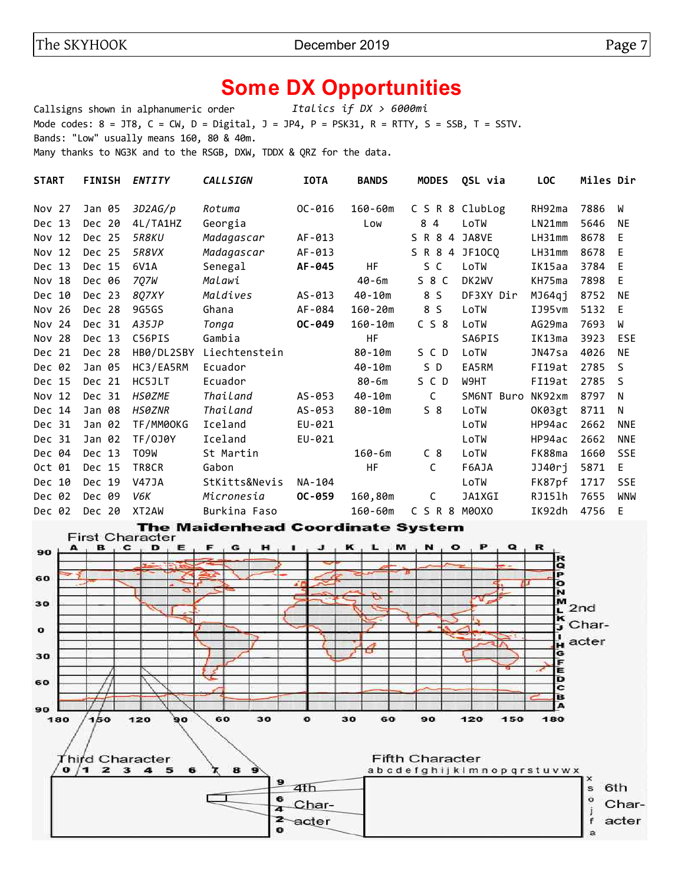# **Some DX Opportunities**

Callsigns shown in alphanumeric order *Italics if DX > 6000mi* Mode codes:  $8 = JTS$ ,  $C = CW$ ,  $D = Digital$ ,  $J = JP4$ ,  $P = PSK31$ ,  $R = RTTY$ ,  $S = SSB$ ,  $T = SSTV$ . Bands: "Low" usually means 160, 80 & 40m. Many thanks to NG3K and to the RSGB, DXW, TDDX & QRZ for the data.

| <b>START</b> | <b>FINISH</b> | <b>ENTITY</b> | <b>CALLSIGN</b> | <b>IOTA</b> | <b>BANDS</b> | <b>MODES</b>   | QSL via         | <b>LOC</b> | Miles Dir |              |
|--------------|---------------|---------------|-----------------|-------------|--------------|----------------|-----------------|------------|-----------|--------------|
| Nov 27       | Jan 05        | 3D2AG/p       | Rotuma          | $OC - 016$  | 160-60m      |                | C S R 8 ClubLog | RH92ma     | 7886      | W            |
| Dec 13       | Dec 20        | 4L/TA1HZ      | Georgia         |             | Low          | 84             | LoTW            | LN21mm     | 5646      | <b>NE</b>    |
| Nov 12       | Dec 25        | <b>5R8KU</b>  | Madagascar      | AF-013      |              | S R 8<br>4     | JA8VE           | LH31mm     | 8678      | E            |
| Nov 12       | Dec 25        | 5R8VX         | Madagascar      | AF-013      |              | S R 8 4 JF10CQ |                 | LH31mm     | 8678      | E            |
| Dec 13       | Dec 15        | 6V1A          | Senegal         | AF-045      | HF           | S C            | LoTW            | IK15aa     | 3784      | E            |
| Nov 18       | Dec 06        | 7 <i>Q7W</i>  | Malawi          |             | $40 - 6m$    | $S_8C$         | DK2WV           | KH75ma     | 7898      | E            |
| Dec 10       | Dec 23        | 8Q7XY         | Maldives        | $AS-013$    | 40-10m       | 8 S            | DF3XY Dir       | MJ64qj     | 8752      | <b>NE</b>    |
| -26<br>Nov   | Dec 28        | 9G5GS         | Ghana           | AF-084      | $160 - 20m$  | 8 S            | LoTW            | IJ95vm     | 5132      | E            |
| 24<br>Nov    | Dec 31        | A35JP         | Tonga           | OC-049      | $160 - 10m$  | C S 8          | LoTW            | AG29ma     | 7693      | W            |
| -28<br>Nov   | Dec 13        | C56PIS        | Gambia          |             | <b>HF</b>    |                | SA6PIS          | IK13ma     | 3923      | <b>ESE</b>   |
| Dec 21       | Dec 28        | HB0/DL2SBY    | Liechtenstein   |             | $80 - 10m$   | SCD            | LoTW            | JN47sa     | 4026      | <b>NE</b>    |
| Dec 02       | Jan 05        | HC3/EA5RM     | Ecuador         |             | $40 - 10m$   | S D            | EA5RM           | FI19at     | 2785      | <sub>S</sub> |
| Dec 15       | Dec 21        | HC5JLT        | Ecuador         |             | $80 - 6m$    | SCD            | W9HT            | FI19at     | 2785      | <sub>S</sub> |
| Nov 12       | Dec 31        | <b>HS0ZME</b> | Thailand        | AS-053      | 40-10m       | C              | SM6NT<br>Buro   | NK92xm     | 8797      | N            |
| Dec 14       | Jan 08        | <b>HS0ZNR</b> | Thailand        | AS-053      | $80 - 10m$   | 58             | LoTW            | OK03gt     | 8711      | N            |
| Dec 31       | Jan 02        | TF/MM00KG     | Iceland         | EU-021      |              |                | LoTW            | HP94ac     | 2662      | <b>NNE</b>   |
| Dec 31       | Jan 02        | TF/0J0Y       | Iceland         | EU-021      |              |                | LoTW            | HP94ac     | 2662      | <b>NNE</b>   |
| Dec 04       | Dec 13        | T09W          | St Martin       |             | $160 - 6m$   | C <sub>8</sub> | LoTW            | FK88ma     | 1660      | <b>SSE</b>   |
| 01<br>0ct    | Dec 15        | TR8CR         | Gabon           |             | <b>HF</b>    | C              | F6AJA           | JJ40rj     | 5871      | E.           |
| -10<br>Dec.  | Dec 19        | <b>V47JA</b>  | StKitts&Nevis   | NA-104      |              |                | LoTW            | FK87pf     | 1717      | <b>SSE</b>   |
| Dec 02       | Dec 09        | V6K           | Micronesia      | OC-059      | 160,80m      | С              | JA1XGI          | RJ15lh     | 7655      | <b>WNW</b>   |
| Dec 02       | Dec 20        | XT2AW         | Burkina Faso    |             | 160-60m      | C S R 8        | M0OXO           | IK92dh     | 4756      | E            |